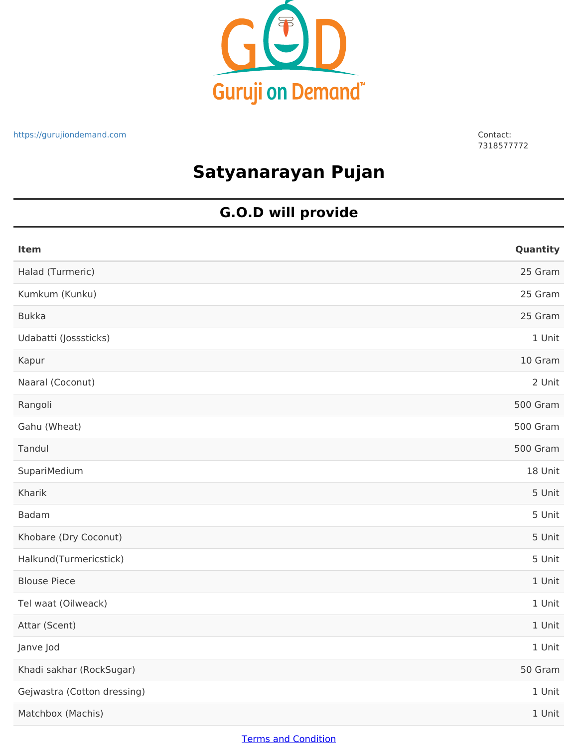

7318577772

# **Satyanarayan Pujan**

### **G.O.D will provide**

| <b>Item</b>                 | Quantity |
|-----------------------------|----------|
| Halad (Turmeric)            | 25 Gram  |
| Kumkum (Kunku)              | 25 Gram  |
| <b>Bukka</b>                | 25 Gram  |
| Udabatti (Josssticks)       | 1 Unit   |
| Kapur                       | 10 Gram  |
| Naaral (Coconut)            | 2 Unit   |
| Rangoli                     | 500 Gram |
| Gahu (Wheat)                | 500 Gram |
| Tandul                      | 500 Gram |
| SupariMedium                | 18 Unit  |
| Kharik                      | 5 Unit   |
| <b>Badam</b>                | 5 Unit   |
| Khobare (Dry Coconut)       | 5 Unit   |
| Halkund(Turmericstick)      | 5 Unit   |
| <b>Blouse Piece</b>         | 1 Unit   |
| Tel waat (Oilweack)         | 1 Unit   |
| Attar (Scent)               | 1 Unit   |
| Janve Jod                   | 1 Unit   |
| Khadi sakhar (RockSugar)    | 50 Gram  |
| Gejwastra (Cotton dressing) | 1 Unit   |
| Matchbox (Machis)           | 1 Unit   |

#### Terms and Condition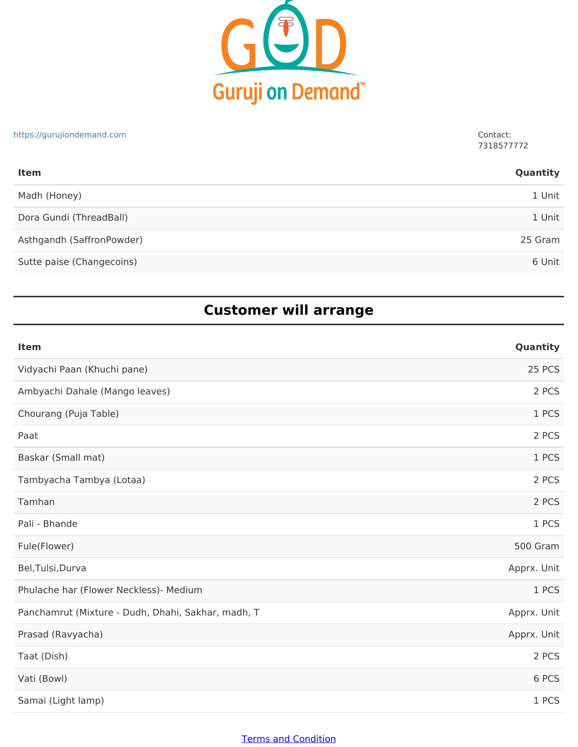

## Madh (Honey) 1 Unit Dora Gundi (ThreadBall) 1 Unit Asthgandh (SaffronPowder) 25 Gram Sutte paise (Changecoins) 6 Unit **Item Quantity** https://gurujiondemand.com Contact: 7318577772

### **Customer will arrange**

| Item                                               | Quantity    |
|----------------------------------------------------|-------------|
| Vidyachi Paan (Khuchi pane)                        | 25 PCS      |
| Ambyachi Dahale (Mango leaves)                     | 2 PCS       |
| Chourang (Puja Table)                              | 1 PCS       |
| Paat                                               | 2 PCS       |
| Baskar (Small mat)                                 | 1 PCS       |
| Tambyacha Tambya (Lotaa)                           | 2 PCS       |
| Tamhan                                             | 2 PCS       |
| Pali - Bhande                                      | 1 PCS       |
| Fule(Flower)                                       | 500 Gram    |
| Bel, Tulsi, Durva                                  | Apprx. Unit |
| Phulache har (Flower Neckless)- Medium             | 1 PCS       |
| Panchamrut (Mixture - Dudh, Dhahi, Sakhar, madh, T | Apprx. Unit |
| Prasad (Ravyacha)                                  | Apprx. Unit |
| Taat (Dish)                                        | 2 PCS       |
| Vati (Bowl)                                        | 6 PCS       |
| Samai (Light lamp)                                 | 1 PCS       |

#### Terms and Condition